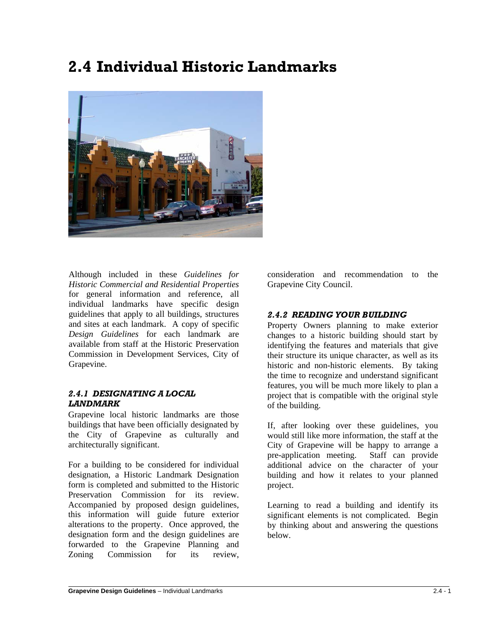# **2.4 Individual Historic Landmarks**



Although included in these *Guidelines for Historic Commercial and Residential Properties* for general information and reference, all individual landmarks have specific design guidelines that apply to all buildings, structures and sites at each landmark. A copy of specific *Design Guidelines* for each landmark are available from staff at the Historic Preservation Commission in Development Services, City of Grapevine.

# *2.4.1 DESIGNATING A LOCAL LANDMARK*

Grapevine local historic landmarks are those buildings that have been officially designated by the City of Grapevine as culturally and architecturally significant.

For a building to be considered for individual designation, a Historic Landmark Designation form is completed and submitted to the Historic Preservation Commission for its review. Accompanied by proposed design guidelines, this information will guide future exterior alterations to the property. Once approved, the designation form and the design guidelines are forwarded to the Grapevine Planning and Zoning Commission for its review,

consideration and recommendation to the Grapevine City Council.

# *2.4.2 READING YOUR BUILDING*

Property Owners planning to make exterior changes to a historic building should start by identifying the features and materials that give their structure its unique character, as well as its historic and non-historic elements. By taking the time to recognize and understand significant features, you will be much more likely to plan a project that is compatible with the original style of the building.

If, after looking over these guidelines, you would still like more information, the staff at the City of Grapevine will be happy to arrange a pre-application meeting. Staff can provide additional advice on the character of your building and how it relates to your planned project.

Learning to read a building and identify its significant elements is not complicated. Begin by thinking about and answering the questions below.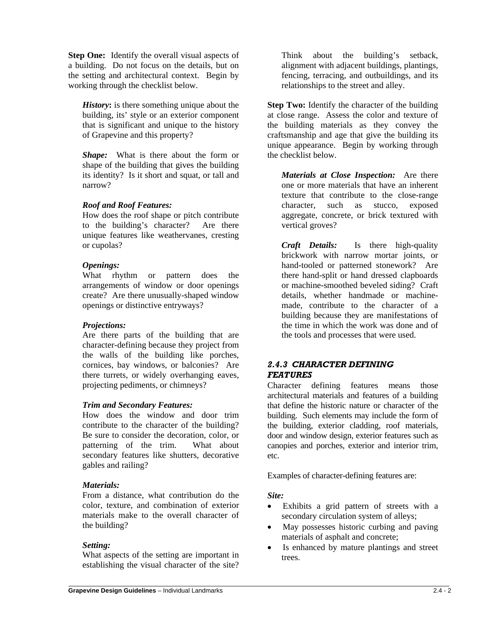**Step One:** Identify the overall visual aspects of a building. Do not focus on the details, but on the setting and architectural context. Begin by working through the checklist below.

*History***:** is there something unique about the building, its' style or an exterior component that is significant and unique to the history of Grapevine and this property?

*Shape:* What is there about the form or shape of the building that gives the building its identity? Is it short and squat, or tall and narrow?

# *Roof and Roof Features:*

How does the roof shape or pitch contribute to the building's character? Are there unique features like weathervanes, cresting or cupolas?

#### *Openings:*

What rhythm or pattern does the arrangements of window or door openings create? Are there unusually-shaped window openings or distinctive entryways?

# *Projections:*

Are there parts of the building that are character-defining because they project from the walls of the building like porches, cornices, bay windows, or balconies? Are there turrets, or widely overhanging eaves, projecting pediments, or chimneys?

# *Trim and Secondary Features:*

How does the window and door trim contribute to the character of the building? Be sure to consider the decoration, color, or patterning of the trim. What about secondary features like shutters, decorative gables and railing?

# *Materials:*

From a distance, what contribution do the color, texture, and combination of exterior materials make to the overall character of the building?

# *Setting:*

What aspects of the setting are important in establishing the visual character of the site?

Think about the building's setback, alignment with adjacent buildings, plantings, fencing, terracing, and outbuildings, and its relationships to the street and alley.

**Step Two:** Identify the character of the building at close range. Assess the color and texture of the building materials as they convey the craftsmanship and age that give the building its unique appearance. Begin by working through the checklist below.

*Materials at Close Inspection:* Are there one or more materials that have an inherent texture that contribute to the close-range character, such as stucco, exposed aggregate, concrete, or brick textured with vertical groves?

*Craft Details:* Is there high-quality brickwork with narrow mortar joints, or hand-tooled or patterned stonework? Are there hand-split or hand dressed clapboards or machine-smoothed beveled siding? Craft details, whether handmade or machinemade, contribute to the character of a building because they are manifestations of the time in which the work was done and of the tools and processes that were used.

# *2.4.3 CHARACTER DEFINING FEATURES*

Character defining features means those architectural materials and features of a building that define the historic nature or character of the building. Such elements may include the form of the building, exterior cladding, roof materials, door and window design, exterior features such as canopies and porches, exterior and interior trim, etc.

Examples of character-defining features are:

# *Site:*

- Exhibits a grid pattern of streets with a secondary circulation system of alleys;
- May possesses historic curbing and paving materials of asphalt and concrete;
- Is enhanced by mature plantings and street trees.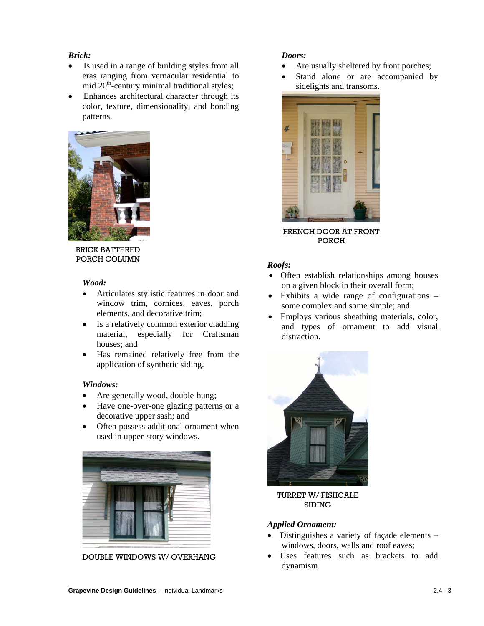#### *Brick:*

- Is used in a range of building styles from all eras ranging from vernacular residential to mid  $20<sup>th</sup>$ -century minimal traditional styles;
- Enhances architectural character through its color, texture, dimensionality, and bonding patterns.



BRICK BATTERED PORCH COLUMN

#### *Wood:*

- Articulates stylistic features in door and window trim, cornices, eaves, porch elements, and decorative trim;
- Is a relatively common exterior cladding material, especially for Craftsman houses; and
- Has remained relatively free from the application of synthetic siding.

#### *Windows:*

 $\overline{a}$ 

- Are generally wood, double-hung;
- Have one-over-one glazing patterns or a decorative upper sash; and
- Often possess additional ornament when used in upper-story windows.



DOUBLE WINDOWS W/ OVERHANG

# *Doors:*

- Are usually sheltered by front porches;
- Stand alone or are accompanied by sidelights and transoms.



FRENCH DOOR AT FRONT PORCH

#### *Roofs:*

- Often establish relationships among houses on a given block in their overall form;
- Exhibits a wide range of configurations some complex and some simple; and
- Employs various sheathing materials, color, and types of ornament to add visual distraction.



TURRET W/ FISHCALE SIDING

#### *Applied Ornament:*

- Distinguishes a variety of façade elements windows, doors, walls and roof eaves;
- Uses features such as brackets to add dynamism.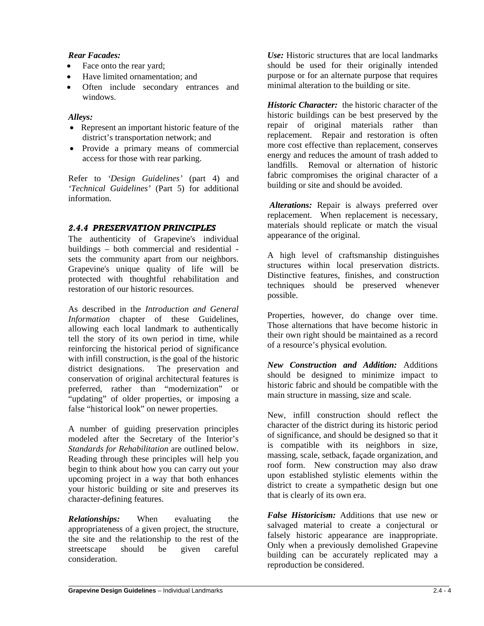#### *Rear Facades:*

- Face onto the rear yard;
- Have limited ornamentation; and
- Often include secondary entrances and windows.

# *Alleys:*

- Represent an important historic feature of the district's transportation network; and
- Provide a primary means of commercial access for those with rear parking.

Refer to *'Design Guidelines'* (part 4) and *'Technical Guidelines'* (Part 5) for additional information.

# *2.4.4 PRESERVATION PRINCIPLES*

The authenticity of Grapevine's individual buildings – both commercial and residential sets the community apart from our neighbors. Grapevine's unique quality of life will be protected with thoughtful rehabilitation and restoration of our historic resources.

As described in the *Introduction and General Information* chapter of these Guidelines, allowing each local landmark to authentically tell the story of its own period in time, while reinforcing the historical period of significance with infill construction, is the goal of the historic district designations. The preservation and conservation of original architectural features is preferred, rather than "modernization" or "updating" of older properties, or imposing a false "historical look" on newer properties.

A number of guiding preservation principles modeled after the Secretary of the Interior's *Standards for Rehabilitation* are outlined below. Reading through these principles will help you begin to think about how you can carry out your upcoming project in a way that both enhances your historic building or site and preserves its character-defining features.

*Relationships:* When evaluating the appropriateness of a given project, the structure, the site and the relationship to the rest of the streetscape should be given careful consideration.

*Use:* Historic structures that are local landmarks should be used for their originally intended purpose or for an alternate purpose that requires minimal alteration to the building or site.

*Historic Character:* the historic character of the historic buildings can be best preserved by the repair of original materials rather than replacement. Repair and restoration is often more cost effective than replacement, conserves energy and reduces the amount of trash added to landfills. Removal or alternation of historic fabric compromises the original character of a building or site and should be avoided.

*Alterations:* Repair is always preferred over replacement. When replacement is necessary, materials should replicate or match the visual appearance of the original.

A high level of craftsmanship distinguishes structures within local preservation districts. Distinctive features, finishes, and construction techniques should be preserved whenever possible.

Properties, however, do change over time. Those alternations that have become historic in their own right should be maintained as a record of a resource's physical evolution.

*New Construction and Addition:* Additions should be designed to minimize impact to historic fabric and should be compatible with the main structure in massing, size and scale.

New, infill construction should reflect the character of the district during its historic period of significance, and should be designed so that it is compatible with its neighbors in size, massing, scale, setback, façade organization, and roof form. New construction may also draw upon established stylistic elements within the district to create a sympathetic design but one that is clearly of its own era.

*False Historicism:* Additions that use new or salvaged material to create a conjectural or falsely historic appearance are inappropriate. Only when a previously demolished Grapevine building can be accurately replicated may a reproduction be considered.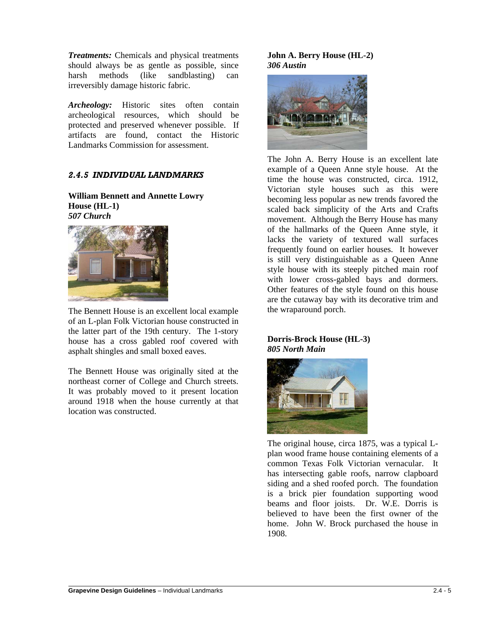*Treatments:* Chemicals and physical treatments should always be as gentle as possible, since harsh methods (like sandblasting) can irreversibly damage historic fabric.

*Archeology:* Historic sites often contain archeological resources, which should be protected and preserved whenever possible. If artifacts are found, contact the Historic Landmarks Commission for assessment.

# *2.4.5 INDIVIDUAL LANDMARKS*

**William Bennett and Annette Lowry House (HL-1)** *507 Church*



The Bennett House is an excellent local example of an L-plan Folk Victorian house constructed in the latter part of the 19th century. The 1-story house has a cross gabled roof covered with asphalt shingles and small boxed eaves.

The Bennett House was originally sited at the northeast corner of College and Church streets. It was probably moved to it present location around 1918 when the house currently at that location was constructed.

#### **John A. Berry House (HL-2)** *306 Austin*



The John A. Berry House is an excellent late example of a Queen Anne style house. At the time the house was constructed, circa. 1912, Victorian style houses such as this were becoming less popular as new trends favored the scaled back simplicity of the Arts and Crafts movement. Although the Berry House has many of the hallmarks of the Queen Anne style, it lacks the variety of textured wall surfaces frequently found on earlier houses. It however is still very distinguishable as a Queen Anne style house with its steeply pitched main roof with lower cross-gabled bays and dormers. Other features of the style found on this house are the cutaway bay with its decorative trim and the wraparound porch.

#### **Dorris-Brock House (HL-3)** *805 North Main*



The original house, circa 1875, was a typical Lplan wood frame house containing elements of a common Texas Folk Victorian vernacular. It has intersecting gable roofs, narrow clapboard siding and a shed roofed porch. The foundation is a brick pier foundation supporting wood beams and floor joists. Dr. W.E. Dorris is believed to have been the first owner of the home. John W. Brock purchased the house in 1908.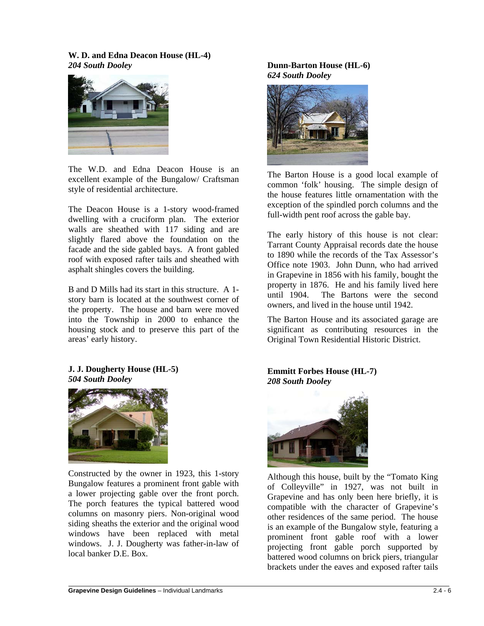#### **W. D. and Edna Deacon House (HL-4)** *204 South Dooley*



The W.D. and Edna Deacon House is an excellent example of the Bungalow/ Craftsman style of residential architecture.

The Deacon House is a 1-story wood-framed dwelling with a cruciform plan. The exterior walls are sheathed with 117 siding and are slightly flared above the foundation on the facade and the side gabled bays. A front gabled roof with exposed rafter tails and sheathed with asphalt shingles covers the building.

B and D Mills had its start in this structure. A 1 story barn is located at the southwest corner of the property. The house and barn were moved into the Township in 2000 to enhance the housing stock and to preserve this part of the areas' early history.

#### **J. J. Dougherty House (HL-5)** *504 South Dooley*



Constructed by the owner in 1923, this 1-story Bungalow features a prominent front gable with a lower projecting gable over the front porch. The porch features the typical battered wood columns on masonry piers. Non-original wood siding sheaths the exterior and the original wood windows have been replaced with metal windows. J. J. Dougherty was father-in-law of local banker D.E. Box.

# **Dunn-Barton House (HL-6)** *624 South Dooley*



The Barton House is a good local example of common 'folk' housing. The simple design of the house features little ornamentation with the exception of the spindled porch columns and the full-width pent roof across the gable bay.

The early history of this house is not clear: Tarrant County Appraisal records date the house to 1890 while the records of the Tax Assessor's Office note 1903. John Dunn, who had arrived in Grapevine in 1856 with his family, bought the property in 1876. He and his family lived here until 1904. The Bartons were the second owners, and lived in the house until 1942.

The Barton House and its associated garage are significant as contributing resources in the Original Town Residential Historic District.

# **Emmitt Forbes House (HL-7)** *208 South Dooley*



Although this house, built by the "Tomato King of Colleyville" in 1927, was not built in Grapevine and has only been here briefly, it is compatible with the character of Grapevine's other residences of the same period. The house is an example of the Bungalow style, featuring a prominent front gable roof with a lower projecting front gable porch supported by battered wood columns on brick piers, triangular brackets under the eaves and exposed rafter tails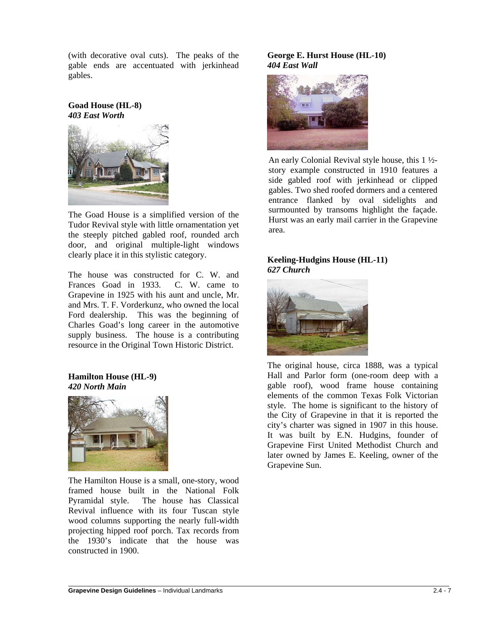(with decorative oval cuts). The peaks of the gable ends are accentuated with jerkinhead gables.

**Goad House (HL-8)** *403 East Worth*



The Goad House is a simplified version of the Tudor Revival style with little ornamentation yet the steeply pitched gabled roof, rounded arch door, and original multiple-light windows clearly place it in this stylistic category.

The house was constructed for C. W. and<br>Frances Goad in 1933. C. W. came to Frances Goad in 1933. Grapevine in 1925 with his aunt and uncle, Mr. and Mrs. T. F. Vorderkunz, who owned the local Ford dealership. This was the beginning of Charles Goad's long career in the automotive supply business. The house is a contributing resource in the Original Town Historic District.

# **Hamilton House (HL-9)** *420 North Main*



The Hamilton House is a small, one-story, wood framed house built in the National Folk Pyramidal style. The house has Classical Revival influence with its four Tuscan style wood columns supporting the nearly full-width projecting hipped roof porch. Tax records from the 1930's indicate that the house was constructed in 1900.

#### **George E. Hurst House (HL-10)** *404 East Wall*



An early Colonial Revival style house, this 1 ½ story example constructed in 1910 features a side gabled roof with jerkinhead or clipped gables. Two shed roofed dormers and a centered entrance flanked by oval sidelights and surmounted by transoms highlight the façade. Hurst was an early mail carrier in the Grapevine area.

#### **Keeling-Hudgins House (HL-11)** *627 Church*



The original house, circa 1888, was a typical Hall and Parlor form (one-room deep with a gable roof), wood frame house containing elements of the common Texas Folk Victorian style. The home is significant to the history of the City of Grapevine in that it is reported the city's charter was signed in 1907 in this house. It was built by E.N. Hudgins, founder of Grapevine First United Methodist Church and later owned by James E. Keeling, owner of the Grapevine Sun.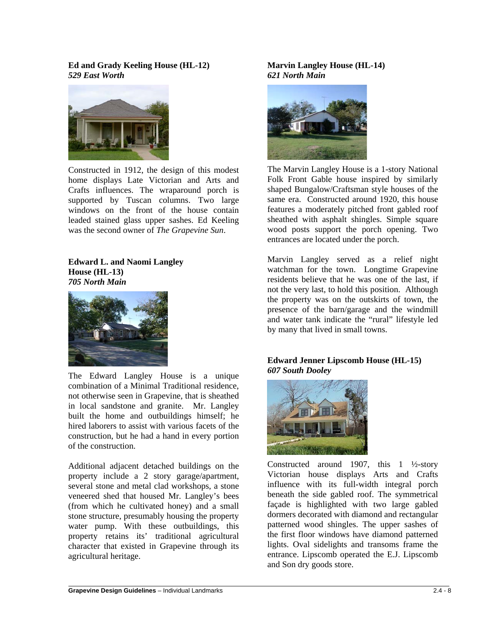**Ed and Grady Keeling House (HL-12)** *529 East Worth*



Constructed in 1912, the design of this modest home displays Late Victorian and Arts and Crafts influences. The wraparound porch is supported by Tuscan columns. Two large windows on the front of the house contain leaded stained glass upper sashes. Ed Keeling was the second owner of *The Grapevine Sun*.

**Edward L. and Naomi Langley House (HL-13)** *705 North Main*



The Edward Langley House is a unique combination of a Minimal Traditional residence, not otherwise seen in Grapevine, that is sheathed in local sandstone and granite. Mr. Langley built the home and outbuildings himself; he hired laborers to assist with various facets of the construction, but he had a hand in every portion of the construction.

Additional adjacent detached buildings on the property include a 2 story garage/apartment, several stone and metal clad workshops, a stone veneered shed that housed Mr. Langley's bees (from which he cultivated honey) and a small stone structure, presumably housing the property water pump. With these outbuildings, this property retains its' traditional agricultural character that existed in Grapevine through its agricultural heritage.

**Marvin Langley House (HL-14)** *621 North Main*



The Marvin Langley House is a 1-story National Folk Front Gable house inspired by similarly shaped Bungalow/Craftsman style houses of the same era. Constructed around 1920, this house features a moderately pitched front gabled roof sheathed with asphalt shingles. Simple square wood posts support the porch opening. Two entrances are located under the porch.

Marvin Langley served as a relief night watchman for the town. Longtime Grapevine residents believe that he was one of the last, if not the very last, to hold this position. Although the property was on the outskirts of town, the presence of the barn/garage and the windmill and water tank indicate the "rural" lifestyle led by many that lived in small towns.

#### **Edward Jenner Lipscomb House (HL-15)** *607 South Dooley*



Constructed around 1907, this  $1 \frac{1}{2}$ -story Victorian house displays Arts and Crafts influence with its full-width integral porch beneath the side gabled roof. The symmetrical façade is highlighted with two large gabled dormers decorated with diamond and rectangular patterned wood shingles. The upper sashes of the first floor windows have diamond patterned lights. Oval sidelights and transoms frame the entrance. Lipscomb operated the E.J. Lipscomb and Son dry goods store.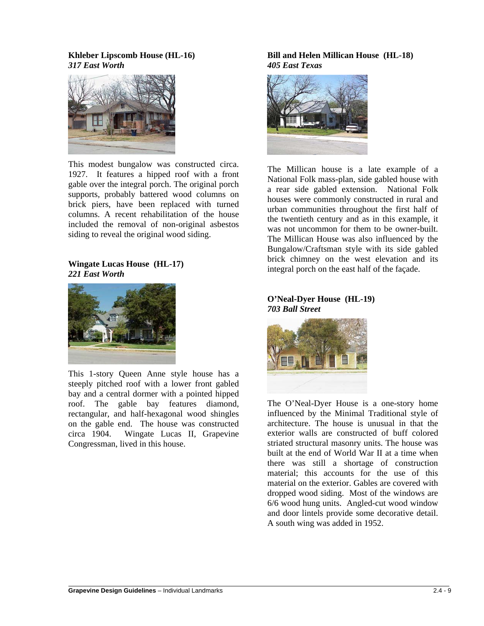**Khleber Lipscomb House (HL-16)** *317 East Worth*



This modest bungalow was constructed circa. 1927. It features a hipped roof with a front gable over the integral porch. The original porch supports, probably battered wood columns on brick piers, have been replaced with turned columns. A recent rehabilitation of the house included the removal of non-original asbestos siding to reveal the original wood siding.

#### **Wingate Lucas House (HL-17)** *221 East Worth*



This 1-story Queen Anne style house has a steeply pitched roof with a lower front gabled bay and a central dormer with a pointed hipped roof. The gable bay features diamond, rectangular, and half-hexagonal wood shingles on the gable end. The house was constructed circa 1904. Wingate Lucas II, Grapevine Congressman, lived in this house.

#### **Bill and Helen Millican House (HL-18)** *405 East Texas*



The Millican house is a late example of a National Folk mass-plan, side gabled house with a rear side gabled extension. National Folk houses were commonly constructed in rural and urban communities throughout the first half of the twentieth century and as in this example, it was not uncommon for them to be owner-built. The Millican House was also influenced by the Bungalow/Craftsman style with its side gabled brick chimney on the west elevation and its integral porch on the east half of the façade.

#### **O'Neal-Dyer House (HL-19)** *703 Ball Street*



The O'Neal-Dyer House is a one-story home influenced by the Minimal Traditional style of architecture. The house is unusual in that the exterior walls are constructed of buff colored striated structural masonry units. The house was built at the end of World War II at a time when there was still a shortage of construction material; this accounts for the use of this material on the exterior. Gables are covered with dropped wood siding. Most of the windows are 6/6 wood hung units. Angled-cut wood window and door lintels provide some decorative detail. A south wing was added in 1952.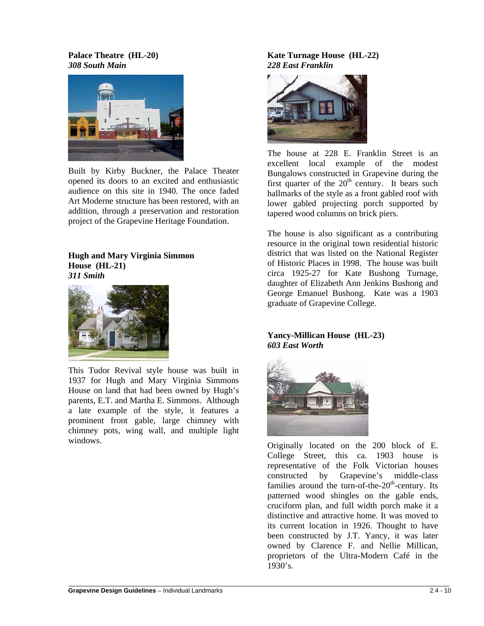#### **Palace Theatre (HL-20)** *308 South Main*



Built by Kirby Buckner, the Palace Theater opened its doors to an excited and enthusiastic audience on this site in 1940. The once faded Art Moderne structure has been restored, with an addition, through a preservation and restoration project of the Grapevine Heritage Foundation.

#### **Hugh and Mary Virginia Simmon House (HL-21)** *311 Smith*



This Tudor Revival style house was built in 1937 for Hugh and Mary Virginia Simmons House on land that had been owned by Hugh's parents, E.T. and Martha E. Simmons. Although a late example of the style, it features a prominent front gable, large chimney with chimney pots, wing wall, and multiple light windows.

# **Kate Turnage House (HL-22)** *228 East Franklin*



The house at 228 E. Franklin Street is an excellent local example of the modest Bungalows constructed in Grapevine during the first quarter of the  $20<sup>th</sup>$  century. It bears such hallmarks of the style as a front gabled roof with lower gabled projecting porch supported by tapered wood columns on brick piers.

The house is also significant as a contributing resource in the original town residential historic district that was listed on the National Register of Historic Places in 1998. The house was built circa 1925-27 for Kate Bushong Turnage, daughter of Elizabeth Ann Jenkins Bushong and George Emanuel Bushong. Kate was a 1903 graduate of Grapevine College.

# **Yancy-Millican House (HL-23)** *603 East Worth*



Originally located on the 200 block of E. College Street, this ca. 1903 house is representative of the Folk Victorian houses constructed by Grapevine's middle-class families around the turn-of-the- $20<sup>th</sup>$ -century. Its patterned wood shingles on the gable ends, cruciform plan, and full width porch make it a distinctive and attractive home. It was moved to its current location in 1926. Thought to have been constructed by J.T. Yancy, it was later owned by Clarence F. and Nellie Millican, proprietors of the Ultra-Modern Café in the 1930's.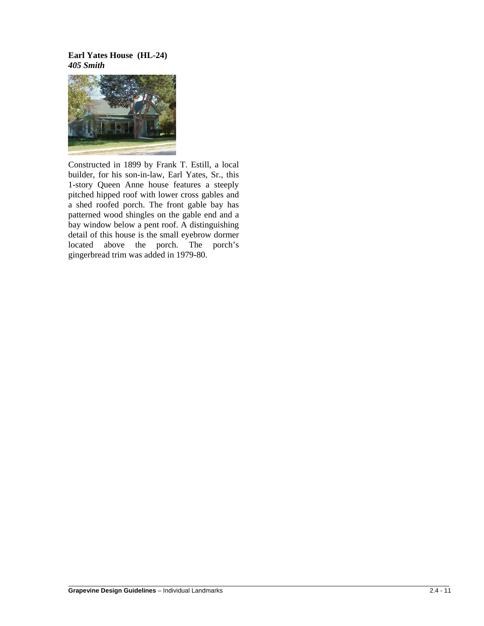#### **Earl Yates House (HL-24)** *405 Smith*



Constructed in 1899 by Frank T. Estill, a local builder, for his son-in-law, Earl Yates, Sr., this 1-story Queen Anne house features a steeply pitched hipped roof with lower cross gables and a shed roofed porch. The front gable bay has patterned wood shingles on the gable end and a bay window below a pent roof. A distinguishing detail of this house is the small eyebrow dormer located above the porch. The porch's gingerbread trim was added in 1979-80.